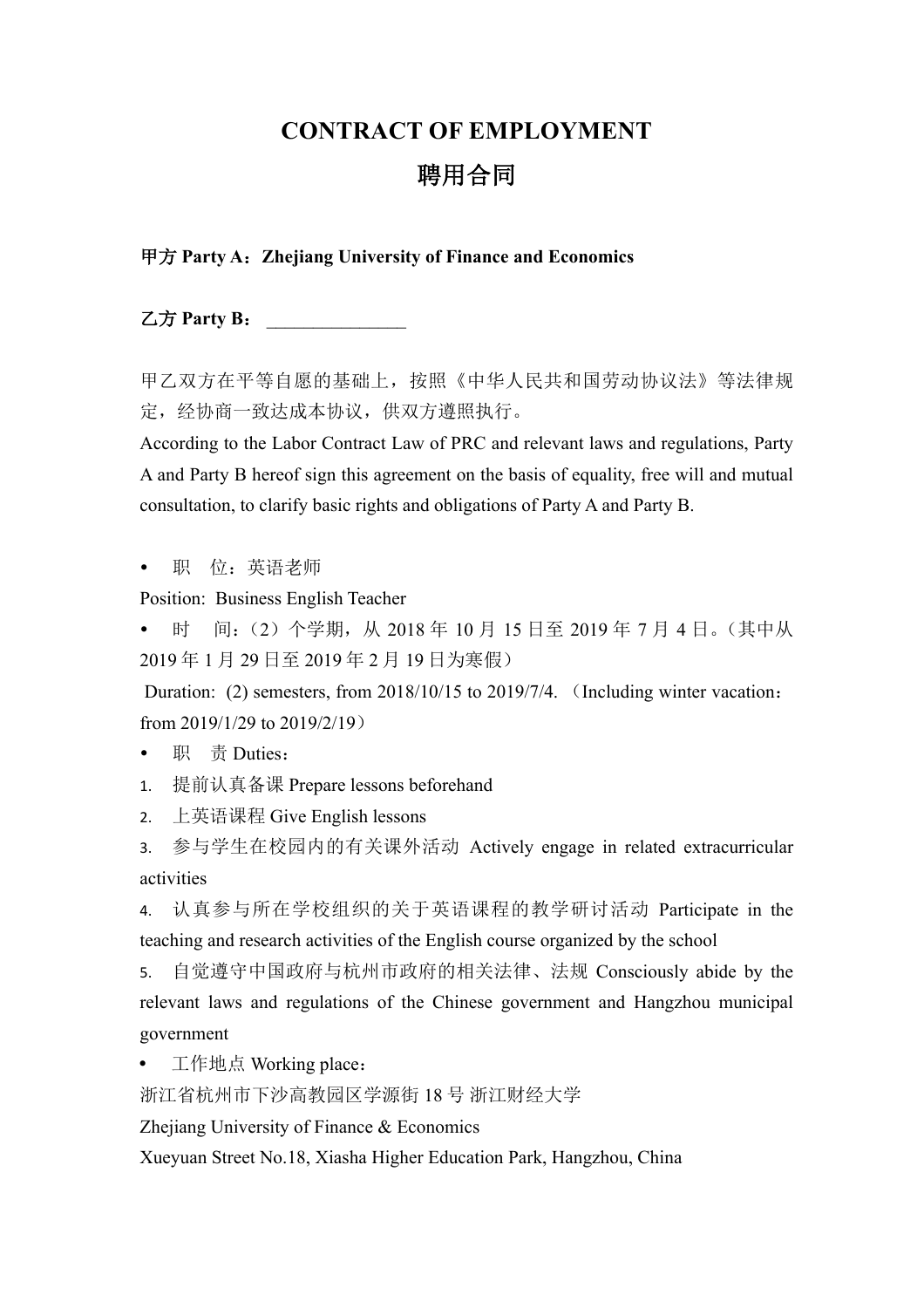## **CONTRACT OF EMPLOYMENT**

# 聘用合同

### 甲方 **Party A**:**Zhejiang University of Finance and Economics**

乙方 **Party B**: \_\_\_\_\_\_\_\_\_\_\_\_\_\_\_

甲乙双方在平等自愿的基础上,按照《中华人民共和国劳动协议法》等法律规 定,经协商一致达成本协议,供双方遵照执行。

According to the Labor Contract Law of PRC and relevant laws and regulations, Party A and Party B hereof sign this agreement on the basis of equality, free will and mutual consultation, to clarify basic rights and obligations of Party A and Party B.

职 位:英语老师

Position: Business English Teacher

时 间:(2)个学期, 从 2018 年 10 月 15 日至 2019 年 7 月 4 日。(其中从 2019 年 1 月 29 日至 2019 年 2 月 19 日为寒假)

Duration: (2) semesters, from 2018/10/15 to 2019/7/4. (Including winter vacation: from 2019/1/29 to 2019/2/19)

• 职 责 Duties:

1. 提前认真备课 Prepare lessons beforehand

2. 上英语课程 Give English lessons

3. 参与学生在校园内的有关课外活动 Actively engage in related extracurricular activities

4. 认真参与所在学校组织的关于英语课程的教学研讨活动 Participate in the teaching and research activities of the English course organized by the school

5. 自觉遵守中国政府与杭州市政府的相关法律、法规 Consciously abide by the relevant laws and regulations of the Chinese government and Hangzhou municipal government

工作地点 Working place:

浙江省杭州市下沙高教园区学源街 18 号 浙江财经大学

Zhejiang University of Finance & Economics

Xueyuan Street No.18, Xiasha Higher Education Park, Hangzhou, China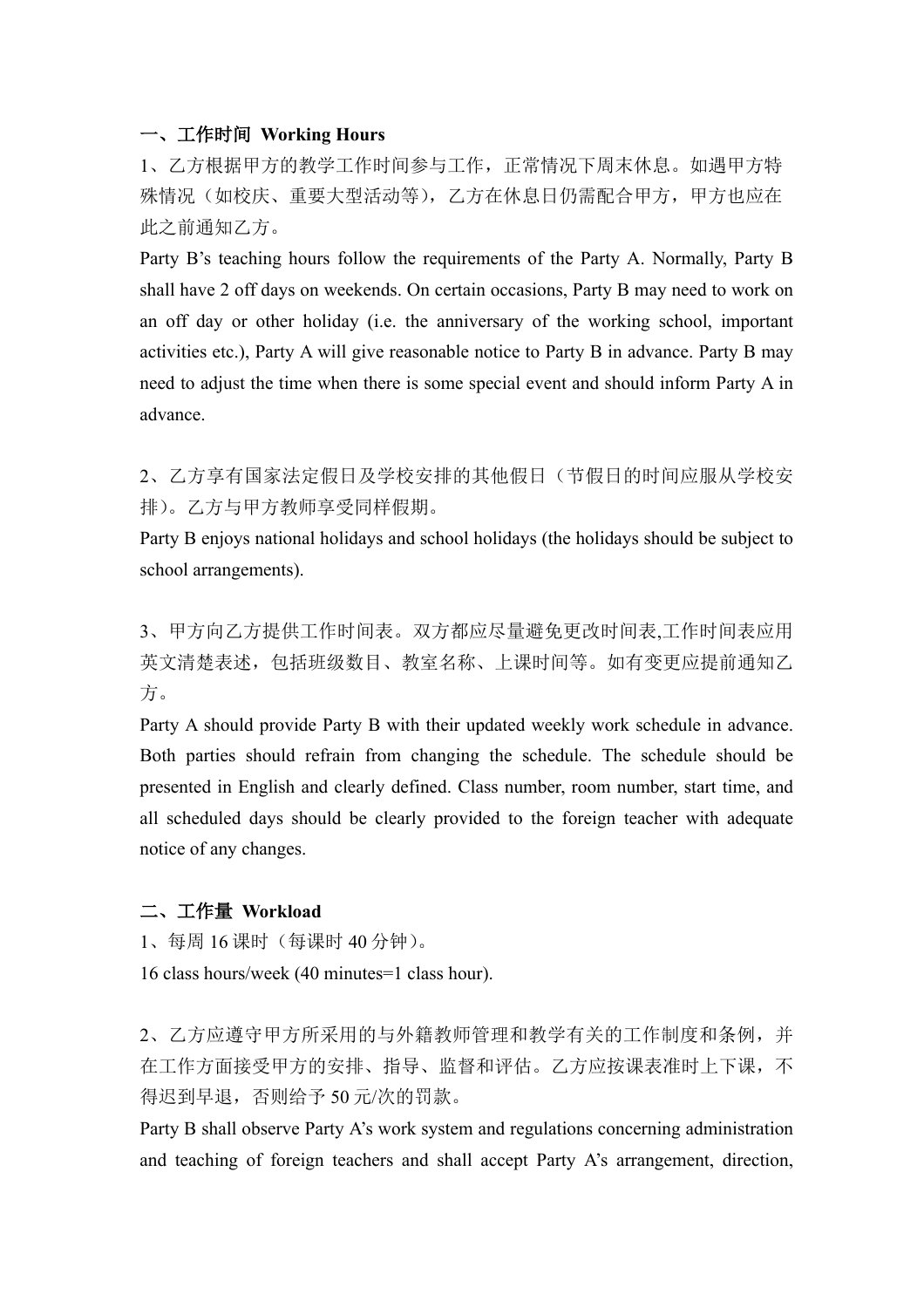#### 一、工作时间 **Working Hours**

1、乙方根据甲方的教学工作时间参与工作,正常情况下周末休息。如遇甲方特 殊情况(如校庆、重要大型活动等),乙方在休息日仍需配合甲方,甲方也应在 此之前通知乙方。

Party B's teaching hours follow the requirements of the Party A. Normally, Party B shall have 2 off days on weekends. On certain occasions, Party B may need to work on an off day or other holiday (i.e. the anniversary of the working school, important activities etc.), Party A will give reasonable notice to Party B in advance. Party B may need to adjust the time when there is some special event and should inform Party A in advance.

2、乙方享有国家法定假日及学校安排的其他假日(节假日的时间应服从学校安 排)。乙方与甲方教师享受同样假期。

Party B enjoys national holidays and school holidays (the holidays should be subject to school arrangements).

3、甲方向乙方提供工作时间表。双方都应尽量避免更改时间表,工作时间表应用 英文清楚表述,包括班级数目、教室名称、上课时间等。如有变更应提前通知乙 方。

Party A should provide Party B with their updated weekly work schedule in advance. Both parties should refrain from changing the schedule. The schedule should be presented in English and clearly defined. Class number, room number, start time, and all scheduled days should be clearly provided to the foreign teacher with adequate notice of any changes.

#### 二、工作量 **Workload**

- 1、每周 16 课时(每课时 40 分钟)。
- 16 class hours/week (40 minutes=1 class hour).

2、乙方应遵守甲方所采用的与外籍教师管理和教学有关的工作制度和条例,并 在工作方面接受甲方的安排、指导、监督和评估。乙方应按课表准时上下课,不 得迟到早退,否则给予 50 元/次的罚款。

Party B shall observe Party A's work system and regulations concerning administration and teaching of foreign teachers and shall accept Party A's arrangement, direction,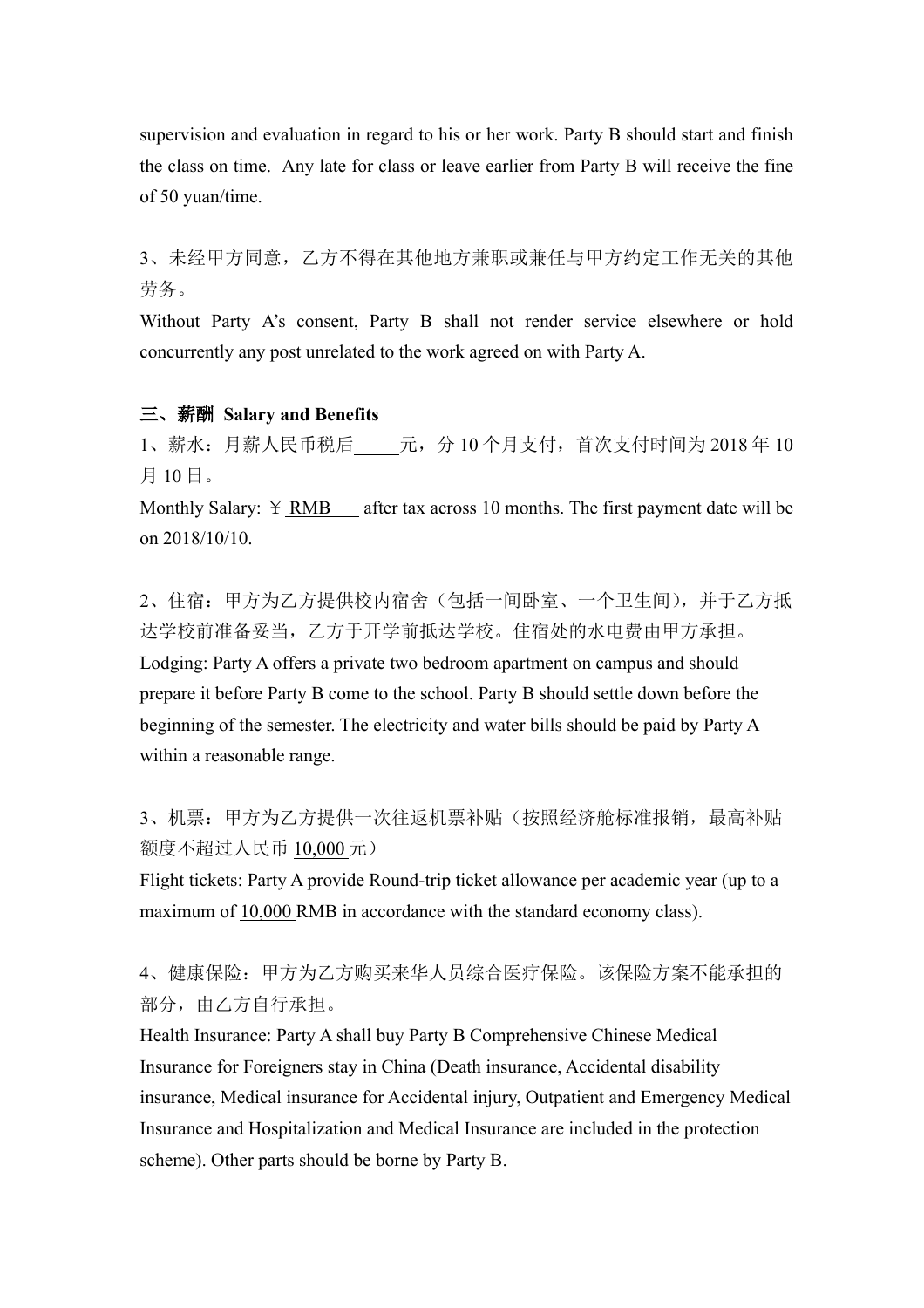supervision and evaluation in regard to his or her work. Party B should start and finish the class on time. Any late for class or leave earlier from Party B will receive the fine of 50 yuan/time.

3、未经甲方同意,乙方不得在其他地方兼职或兼任与甲方约定工作无关的其他 劳务。

Without Party A's consent, Party B shall not render service elsewhere or hold concurrently any post unrelated to the work agreed on with Party A.

#### 三、薪酬 **Salary and Benefits**

 $1$ 、薪水: 月薪人民币税后<br>  $\frac{1}{2}$ 元, 分 10 个月支付, 首次支付时间为 2018 年 10 月 10 日。

Monthly Salary: Y RMB after tax across 10 months. The first payment date will be on 2018/10/10.

2、住宿:甲方为乙方提供校内宿舍(包括一间卧室、一个卫生间),并于乙方抵 达学校前准备妥当,乙方于开学前抵达学校。住宿处的水电费由甲方承担。 Lodging: Party A offers a private two bedroom apartment on campus and should prepare it before Party B come to the school. Party B should settle down before the beginning of the semester. The electricity and water bills should be paid by Party A within a reasonable range.

3、机票: 甲方为乙方提供一次往返机票补贴(按照经济舱标准报销,最高补贴 额度不超过人民币 10,000 元)

Flight tickets: Party A provide Round-trip ticket allowance per academic year (up to a maximum of 10,000 RMB in accordance with the standard economy class).

4、健康保险:甲方为乙方购买来华人员综合医疗保险。该保险方案不能承担的 部分, 由乙方自行承担。

Health Insurance: Party A shall buy Party B Comprehensive Chinese Medical Insurance for Foreigners stay in China (Death insurance, Accidental disability insurance, Medical insurance for Accidental injury, Outpatient and Emergency Medical Insurance and Hospitalization and Medical Insurance are included in the protection scheme). Other parts should be borne by Party B.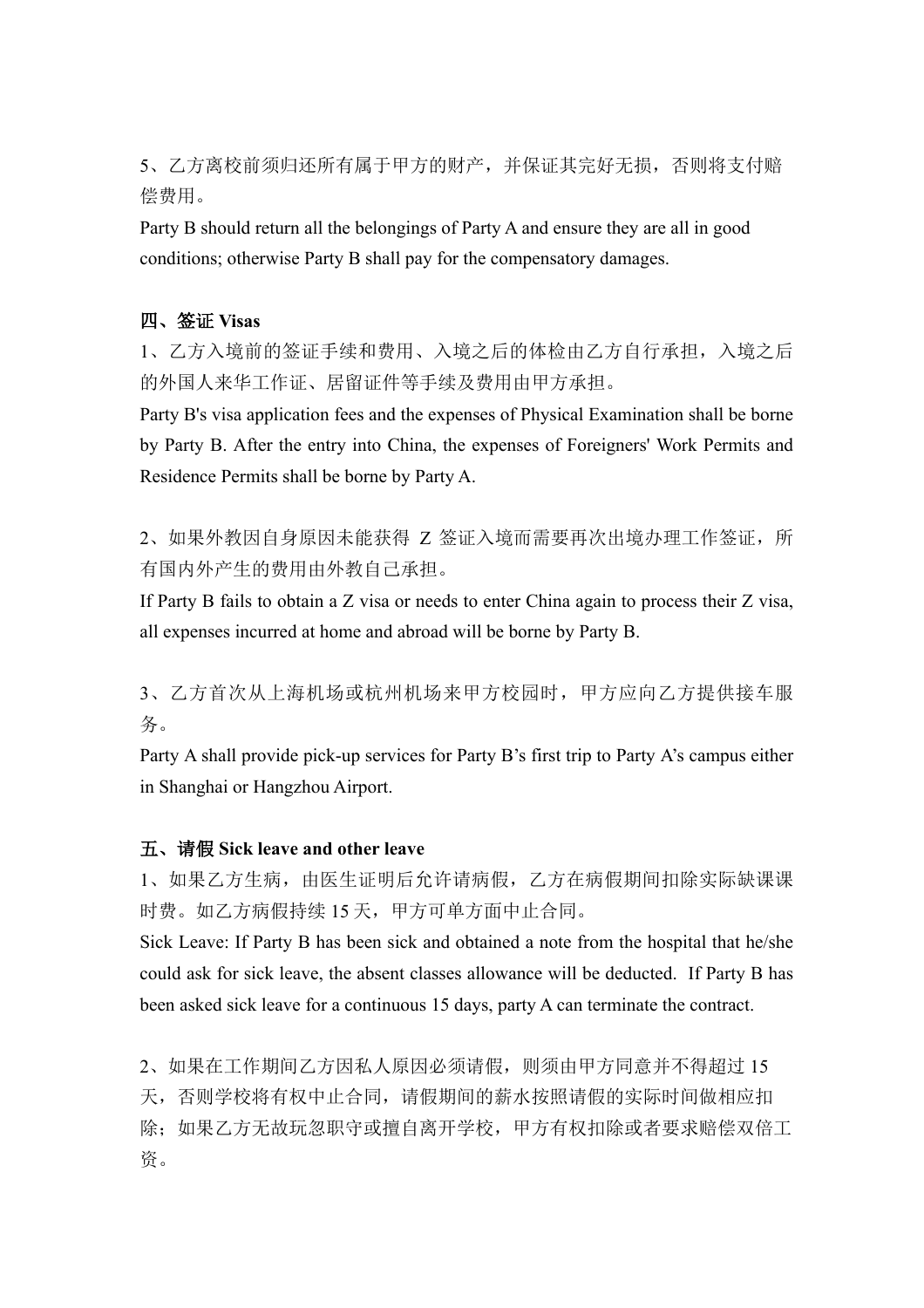5、乙方离校前须归还所有属于甲方的财产,并保证其完好无损,否则将支付赔 偿费用。

Party B should return all the belongings of Party A and ensure they are all in good conditions; otherwise Party B shall pay for the compensatory damages.

#### 四、签证 **Visas**

1、乙方入境前的签证手续和费用、入境之后的体检由乙方自行承担,入境之后 的外国人来华工作证、居留证件等手续及费用由甲方承担。

Party B's visa application fees and the expenses of Physical Examination shall be borne by Party B. After the entry into China, the expenses of Foreigners' Work Permits and Residence Permits shall be borne by Party A.

2、如果外教因自身原因未能获得 Z 签证入境而需要再次出境办理工作签证,所 有国内外产生的费用由外教自己承担。

If Party B fails to obtain a Z visa or needs to enter China again to process their Z visa, all expenses incurred at home and abroad will be borne by Party B.

3、乙方首次从上海机场或杭州机场来甲方校园时,甲方应向乙方提供接车服 务。

Party A shall provide pick-up services for Party B's first trip to Party A's campus either in Shanghai or Hangzhou Airport.

#### 五、请假 **Sick leave and other leave**

1、如果乙方生病,由医生证明后允许请病假,乙方在病假期间扣除实际缺课课 时费。如乙方病假持续 15 天,甲方可单方面中止合同。

Sick Leave: If Party B has been sick and obtained a note from the hospital that he/she could ask for sick leave, the absent classes allowance will be deducted. If Party B has been asked sick leave for a continuous 15 days, party A can terminate the contract.

2、如果在工作期间乙方因私人原因必须请假,则须由甲方同意并不得超过 15 天,否则学校将有权中止合同,请假期间的薪水按照请假的实际时间做相应扣 除;如果乙方无故玩忽职守或擅自离开学校,甲方有权扣除或者要求赔偿双倍工 资。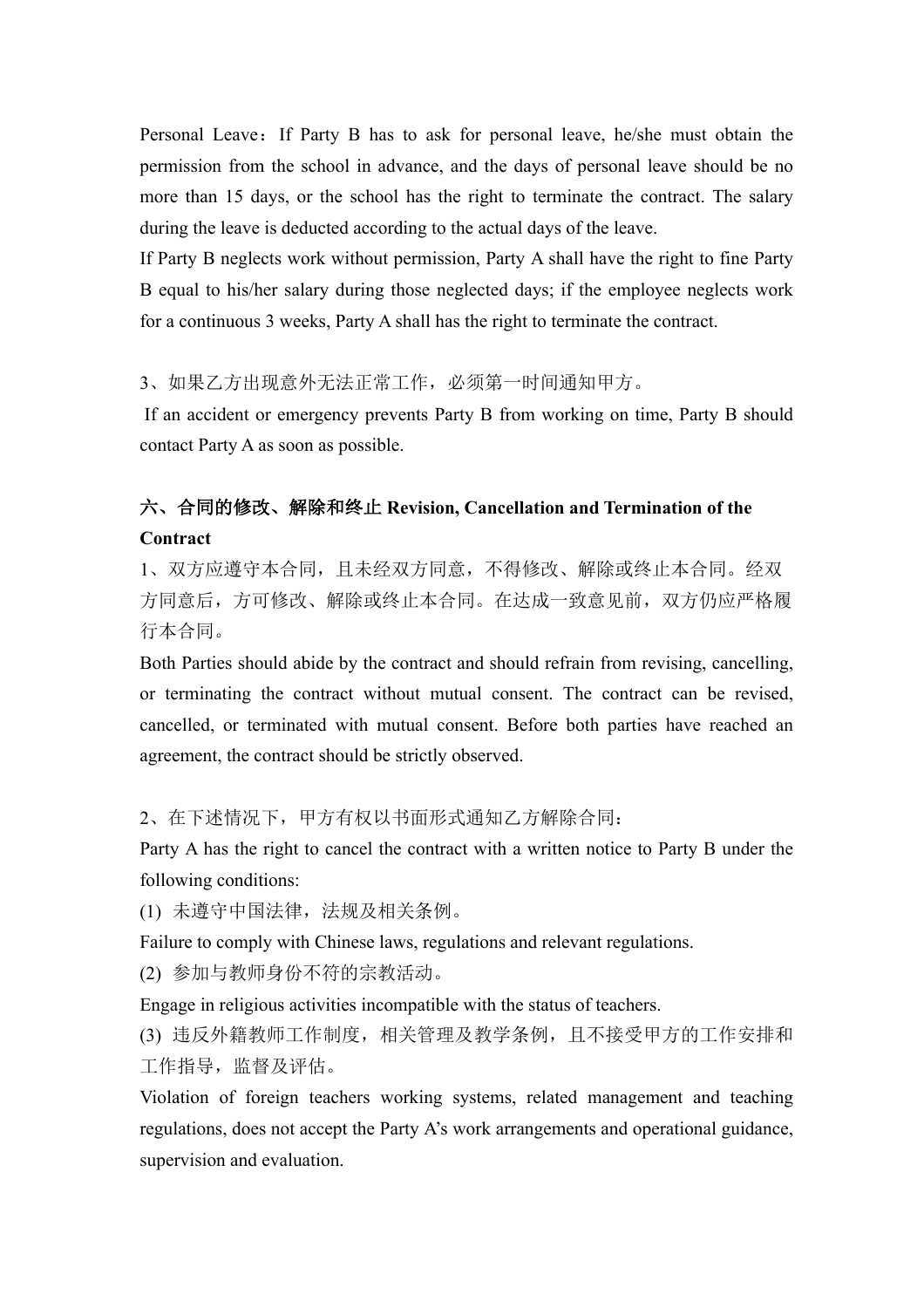Personal Leave: If Party B has to ask for personal leave, he/she must obtain the permission from the school in advance, and the days of personal leave should be no more than 15 days, or the school has the right to terminate the contract. The salary during the leave is deducted according to the actual days of the leave.

If Party B neglects work without permission, Party A shall have the right to fine Party B equal to his/her salary during those neglected days; if the employee neglects work for a continuous 3 weeks, Party A shall has the right to terminate the contract.

3、如果乙方出现意外无法正常工作,必须第一时间通知甲方。

If an accident or emergency prevents Party B from working on time, Party B should contact Party A as soon as possible.

### 六、合同的修改、解除和终止 **Revision, Cancellation and Termination of the Contract**

1、双方应遵守本合同,且未经双方同意,不得修改、解除或终止本合同。经双 方同意后,方可修改、解除或终止本合同。在达成一致意见前,双方仍应严格履 行本合同。

Both Parties should abide by the contract and should refrain from revising, cancelling, or terminating the contract without mutual consent. The contract can be revised, cancelled, or terminated with mutual consent. Before both parties have reached an agreement, the contract should be strictly observed.

2、在下述情况下,甲方有权以书面形式通知乙方解除合同:

Party A has the right to cancel the contract with a written notice to Party B under the following conditions:

(1) 未遵守中国法律,法规及相关条例。

Failure to comply with Chinese laws, regulations and relevant regulations.

(2) 参加与教师身份不符的宗教活动。

Engage in religious activities incompatible with the status of teachers.

(3) 违反外籍教师工作制度,相关管理及教学条例,且不接受甲方的工作安排和 工作指导,监督及评估。

Violation of foreign teachers working systems, related management and teaching regulations, does not accept the Party A's work arrangements and operational guidance, supervision and evaluation.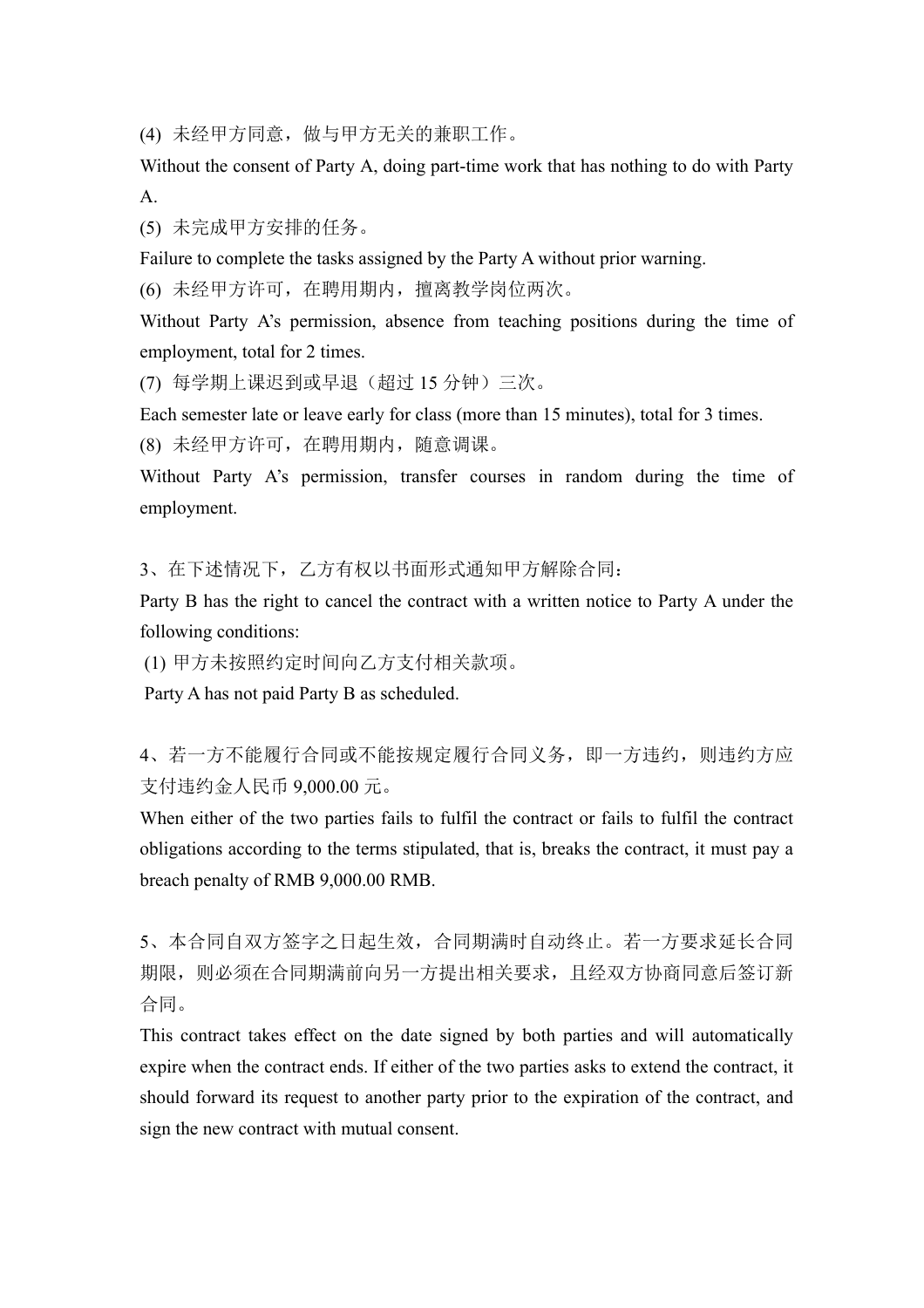(4) 未经甲方同意,做与甲方无关的兼职工作。

Without the consent of Party A, doing part-time work that has nothing to do with Party A.

(5) 未完成甲方安排的任务。

Failure to complete the tasks assigned by the Party A without prior warning.

(6) 未经甲方许可,在聘用期内,擅离教学岗位两次。

Without Party A's permission, absence from teaching positions during the time of employment, total for 2 times.

(7) 每学期上课迟到或早退(超过 15 分钟)三次。

Each semester late or leave early for class (more than 15 minutes), total for 3 times.

(8) 未经甲方许可,在聘用期内,随意调课。

Without Party A's permission, transfer courses in random during the time of employment.

3、在下述情况下,乙方有权以书面形式通知甲方解除合同:

Party B has the right to cancel the contract with a written notice to Party A under the following conditions:

(1) 甲方未按照约定时间向乙方支付相关款项。

Party A has not paid Party B as scheduled.

4、若一方不能履行合同或不能按规定履行合同义务,即一方违约,则违约方应 支付违约金人民币 9,000.00 元。

When either of the two parties fails to fulfil the contract or fails to fulfil the contract obligations according to the terms stipulated, that is, breaks the contract, it must pay a breach penalty of RMB 9,000.00 RMB.

5、本合同自双方签字之日起生效,合同期满时自动终止。若一方要求延长合同 期限,则必须在合同期满前向另一方提出相关要求,且经双方协商同意后签订新 合同。

This contract takes effect on the date signed by both parties and will automatically expire when the contract ends. If either of the two parties asks to extend the contract, it should forward its request to another party prior to the expiration of the contract, and sign the new contract with mutual consent.